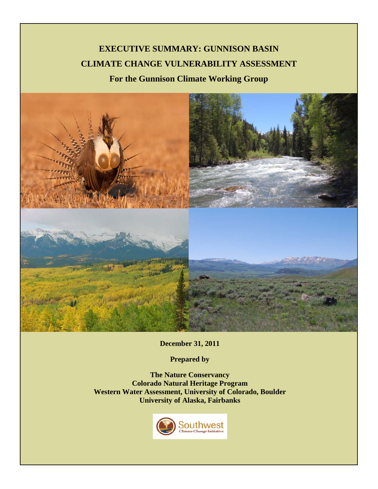# **EXECUTIVE SUMMARY: GUNNISON BASIN CLIMATE CHANGE VULNERABILITY ASSESSMENT For the Gunnison Climate Working Group**



**December 31, 2011**

**Prepared by**

**The Nature Conservancy Colorado Natural Heritage Program Western Water Assessment, University of Colorado, Boulder University of Alaska, Fairbanks**

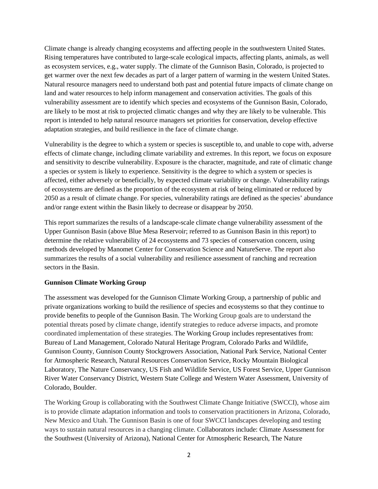Climate change is already changing ecosystems and affecting people in the southwestern United States. Rising temperatures have contributed to large-scale ecological impacts, affecting plants, animals, as well as ecosystem services, e.g., water supply. The climate of the Gunnison Basin, Colorado, is projected to get warmer over the next few decades as part of a larger pattern of warming in the western United States. Natural resource managers need to understand both past and potential future impacts of climate change on land and water resources to help inform management and conservation activities. The goals of this vulnerability assessment are to identify which species and ecosystems of the Gunnison Basin, Colorado, are likely to be most at risk to projected climatic changes and why they are likely to be vulnerable. This report is intended to help natural resource managers set priorities for conservation, develop effective adaptation strategies, and build resilience in the face of climate change.

Vulnerability is the degree to which a system or species is susceptible to, and unable to cope with, adverse effects of climate change, including climate variability and extremes. In this report, we focus on exposure and sensitivity to describe vulnerability. Exposure is the character, magnitude, and rate of climatic change a species or system is likely to experience. Sensitivity is the degree to which a system or species is affected, either adversely or beneficially, by expected climate variability or change. Vulnerability ratings of ecosystems are defined as the proportion of the ecosystem at risk of being eliminated or reduced by 2050 as a result of climate change. For species, vulnerability ratings are defined as the species' abundance and/or range extent within the Basin likely to decrease or disappear by 2050.

This report summarizes the results of a landscape-scale climate change vulnerability assessment of the Upper Gunnison Basin (above Blue Mesa Reservoir; referred to as Gunnison Basin in this report) to determine the relative vulnerability of 24 ecosystems and 73 species of conservation concern, using methods developed by Manomet Center for Conservation Science and NatureServe. The report also summarizes the results of a social vulnerability and resilience assessment of ranching and recreation sectors in the Basin.

#### **Gunnison Climate Working Group**

The assessment was developed for the Gunnison Climate Working Group, a partnership of public and private organizations working to build the resilience of species and ecosystems so that they continue to provide benefits to people of the Gunnison Basin. The Working Group goals are to understand the potential threats posed by climate change, identify strategies to reduce adverse impacts, and promote coordinated implementation of these strategies. The Working Group includes representatives from: Bureau of Land Management, Colorado Natural Heritage Program, Colorado Parks and Wildlife, Gunnison County, Gunnison County Stockgrowers Association, National Park Service, National Center for Atmospheric Research, Natural Resources Conservation Service, Rocky Mountain Biological Laboratory, The Nature Conservancy, US Fish and Wildlife Service, US Forest Service, Upper Gunnison River Water Conservancy District, Western State College and Western Water Assessment, University of Colorado, Boulder.

The Working Group is collaborating with the Southwest Climate Change Initiative (SWCCI), whose aim is to provide climate adaptation information and tools to conservation practitioners in Arizona, Colorado, New Mexico and Utah. The Gunnison Basin is one of four SWCCI landscapes developing and testing ways to sustain natural resources in a changing climate. Collaborators include: Climate Assessment for the Southwest (University of Arizona), National Center for Atmospheric Research, The Nature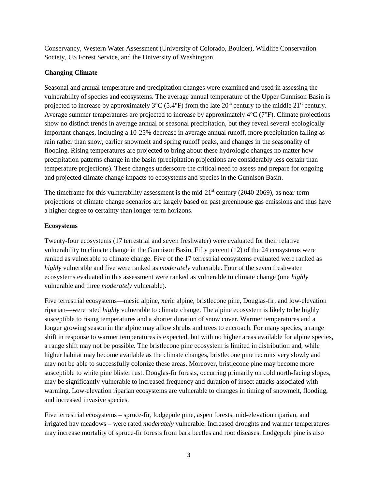Conservancy, Western Water Assessment (University of Colorado, Boulder), Wildlife Conservation Society, US Forest Service, and the University of Washington.

## **Changing Climate**

Seasonal and annual temperature and precipitation changes were examined and used in assessing the vulnerability of species and ecosystems. The average annual temperature of the Upper Gunnison Basin is projected to increase by approximately  $3^{\circ}C$  (5.4 $^{\circ}F$ ) from the late  $20^{th}$  century to the middle  $21^{st}$  century. Average summer temperatures are projected to increase by approximately 4°C (7°F). Climate projections show no distinct trends in average annual or seasonal precipitation, but they reveal several ecologically important changes, including a 10-25% decrease in average annual runoff, more precipitation falling as rain rather than snow, earlier snowmelt and spring runoff peaks, and changes in the seasonality of flooding. Rising temperatures are projected to bring about these hydrologic changes no matter how precipitation patterns change in the basin (precipitation projections are considerably less certain than temperature projections). These changes underscore the critical need to assess and prepare for ongoing and projected climate change impacts to ecosystems and species in the Gunnison Basin.

The timeframe for this vulnerability assessment is the mid-21<sup>st</sup> century (2040-2069), as near-term projections of climate change scenarios are largely based on past greenhouse gas emissions and thus have a higher degree to certainty than longer-term horizons.

### **Ecosystems**

Twenty-four ecosystems (17 terrestrial and seven freshwater) were evaluated for their relative vulnerability to climate change in the Gunnison Basin. Fifty percent (12) of the 24 ecosystems were ranked as vulnerable to climate change. Five of the 17 terrestrial ecosystems evaluated were ranked as *highly* vulnerable and five were ranked as *moderately* vulnerable. Four of the seven freshwater ecosystems evaluated in this assessment were ranked as vulnerable to climate change (one *highly* vulnerable and three *moderately* vulnerable).

Five terrestrial ecosystems—mesic alpine, xeric alpine, bristlecone pine, Douglas-fir, and low-elevation riparian—were rated *highly* vulnerable to climate change. The alpine ecosystem is likely to be highly susceptible to rising temperatures and a shorter duration of snow cover. Warmer temperatures and a longer growing season in the alpine may allow shrubs and trees to encroach. For many species, a range shift in response to warmer temperatures is expected, but with no higher areas available for alpine species, a range shift may not be possible. The bristlecone pine ecosystem is limited in distribution and, while higher habitat may become available as the climate changes, bristlecone pine recruits very slowly and may not be able to successfully colonize these areas. Moreover, bristlecone pine may become more susceptible to white pine blister rust. Douglas-fir forests, occurring primarily on cold north-facing slopes, may be significantly vulnerable to increased frequency and duration of insect attacks associated with warming. Low-elevation riparian ecosystems are vulnerable to changes in timing of snowmelt, flooding, and increased invasive species.

Five terrestrial ecosystems – spruce-fir, lodgepole pine, aspen forests, mid-elevation riparian, and irrigated hay meadows – were rated *moderately* vulnerable. Increased droughts and warmer temperatures may increase mortality of spruce-fir forests from bark beetles and root diseases. Lodgepole pine is also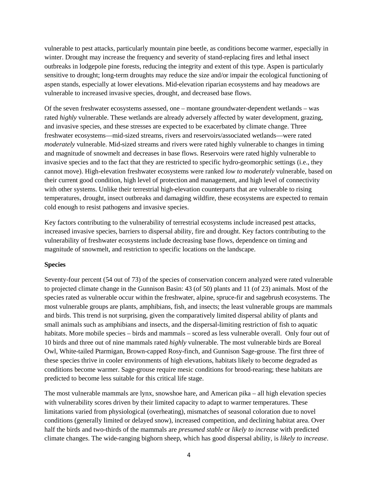vulnerable to pest attacks, particularly mountain pine beetle, as conditions become warmer, especially in winter. Drought may increase the frequency and severity of stand-replacing fires and lethal insect outbreaks in lodgepole pine forests, reducing the integrity and extent of this type. Aspen is particularly sensitive to drought; long-term droughts may reduce the size and/or impair the ecological functioning of aspen stands, especially at lower elevations. Mid-elevation riparian ecosystems and hay meadows are vulnerable to increased invasive species, drought, and decreased base flows.

Of the seven freshwater ecosystems assessed, one – montane groundwater-dependent wetlands – was rated *highly* vulnerable. These wetlands are already adversely affected by water development, grazing, and invasive species, and these stresses are expected to be exacerbated by climate change. Three freshwater ecosystems—mid-sized streams, rivers and reservoirs/associated wetlands—were rated *moderately* vulnerable. Mid-sized streams and rivers were rated highly vulnerable to changes in timing and magnitude of snowmelt and decreases in base flows. Reservoirs were rated highly vulnerable to invasive species and to the fact that they are restricted to specific hydro-geomorphic settings (i.e., they cannot move). High-elevation freshwater ecosystems were ranked *low to moderately* vulnerable, based on their current good condition, high level of protection and management, and high level of connectivity with other systems. Unlike their terrestrial high-elevation counterparts that are vulnerable to rising temperatures, drought, insect outbreaks and damaging wildfire, these ecosystems are expected to remain cold enough to resist pathogens and invasive species.

Key factors contributing to the vulnerability of terrestrial ecosystems include increased pest attacks, increased invasive species, barriers to dispersal ability, fire and drought. Key factors contributing to the vulnerability of freshwater ecosystems include decreasing base flows, dependence on timing and magnitude of snowmelt, and restriction to specific locations on the landscape.

#### **Species**

Seventy-four percent (54 out of 73) of the species of conservation concern analyzed were rated vulnerable to projected climate change in the Gunnison Basin: 43 (of 50) plants and 11 (of 23) animals. Most of the species rated as vulnerable occur within the freshwater, alpine, spruce-fir and sagebrush ecosystems. The most vulnerable groups are plants, amphibians, fish, and insects; the least vulnerable groups are mammals and birds. This trend is not surprising, given the comparatively limited dispersal ability of plants and small animals such as amphibians and insects, and the dispersal-limiting restriction of fish to aquatic habitats. More mobile species – birds and mammals – scored as less vulnerable overall. Only four out of 10 birds and three out of nine mammals rated *highly* vulnerable. The most vulnerable birds are Boreal Owl, White-tailed Ptarmigan, Brown-capped Rosy-finch, and Gunnison Sage-grouse. The first three of these species thrive in cooler environments of high elevations, habitats likely to become degraded as conditions become warmer. Sage-grouse require mesic conditions for brood-rearing; these habitats are predicted to become less suitable for this critical life stage.

The most vulnerable mammals are lynx, snowshoe hare, and American pika – all high elevation species with vulnerability scores driven by their limited capacity to adapt to warmer temperatures. These limitations varied from physiological (overheating), mismatches of seasonal coloration due to novel conditions (generally limited or delayed snow), increased competition, and declining habitat area. Over half the birds and two-thirds of the mammals are *presumed stable* or *likely to increase* with predicted climate changes. The wide-ranging bighorn sheep, which has good dispersal ability, is *likely to increase*.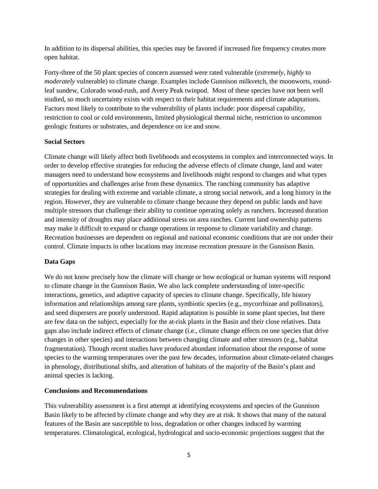In addition to its dispersal abilities, this species may be favored if increased fire frequency creates more open habitat.

Forty-three of the 50 plant species of concern assessed were rated vulnerable (*extremely, highly* to *moderately* vulnerable) to climate change. Examples include Gunnison milkvetch, the moonworts, roundleaf sundew, Colorado wood-rush, and Avery Peak twinpod. Most of these species have not been well studied, so much uncertainty exists with respect to their habitat requirements and climate adaptations. Factors most likely to contribute to the vulnerability of plants include: poor dispersal capability, restriction to cool or cold environments, limited physiological thermal niche, restriction to uncommon geologic features or substrates, and dependence on ice and snow.

#### **Social Sectors**

Climate change will likely affect both livelihoods and ecosystems in complex and interconnected ways. In order to develop effective strategies for reducing the adverse effects of climate change, land and water managers need to understand how ecosystems and livelihoods might respond to changes and what types of opportunities and challenges arise from these dynamics. The ranching community has adaptive strategies for dealing with extreme and variable climate, a strong social network, and a long history in the region. However, they are vulnerable to climate change because they depend on public lands and have multiple stressors that challenge their ability to continue operating solely as ranchers. Increased duration and intensity of droughts may place additional stress on area ranches. Current land ownership patterns may make it difficult to expand or change operations in response to climate variability and change. Recreation businesses are dependent on regional and national economic conditions that are not under their control. Climate impacts in other locations may increase recreation pressure in the Gunnison Basin.

#### **Data Gaps**

We do not know precisely how the climate will change or how ecological or human systems will respond to climate change in the Gunnison Basin. We also lack complete understanding of inter-specific interactions, genetics, and adaptive capacity of species to climate change. Specifically, life history information and relationships among rare plants, symbiotic species (e.g., mycorrhizae and pollinators), and seed dispersers are poorly understood. Rapid adaptation is possible in some plant species, but there are few data on the subject, especially for the at-risk plants in the Basin and their close relatives. Data gaps also include indirect effects of climate change (i.e., climate change effects on one species that drive changes in other species) and interactions between changing climate and other stressors (e.g., habitat fragmentation). Though recent studies have produced abundant information about the response of some species to the warming temperatures over the past few decades, information about climate-related changes in phenology, distributional shifts, and alteration of habitats of the majority of the Basin's plant and animal species is lacking.

#### **Conclusions and Recommendations**

This vulnerability assessment is a first attempt at identifying ecosystems and species of the Gunnison Basin likely to be affected by climate change and why they are at risk. It shows that many of the natural features of the Basin are susceptible to loss, degradation or other changes induced by warming temperatures. Climatological, ecological, hydrological and socio-economic projections suggest that the